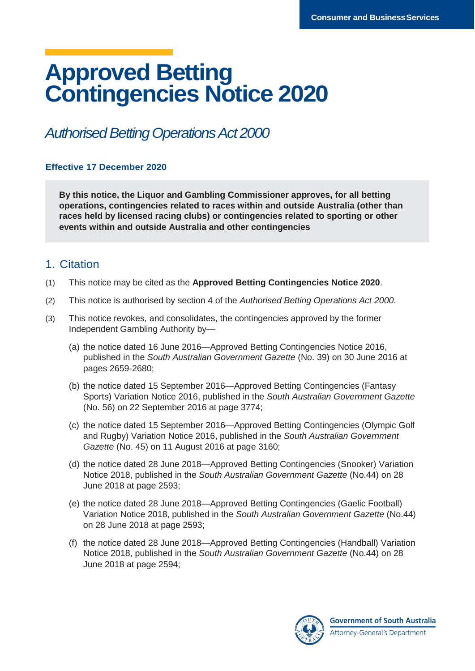# **Approved Betting Contingencies Notice 2020**

## *Authorised Betting Operations Act 2000*

## **Effective 17 December 2020**

**By this notice, the Liquor and Gambling Commissioner approves, for all betting operations, contingencies related to races within and outside Australia (other than races held by licensed racing clubs) or contingencies related to sporting or other events within and outside Australia and other contingencies**

## 1. Citation

- (1) This notice may be cited as the **Approved Betting Contingencies Notice 2020**.
- (2) This notice is authorised by section 4 of the *Authorised Betting Operations Act 2000*.
- (3) This notice revokes, and consolidates, the contingencies approved by the former Independent Gambling Authority by—
	- (a) the notice dated 16 June 2016—Approved Betting Contingencies Notice 2016, published in the *South Australian Government Gazette* (No. 39) on 30 June 2016 at pages 2659-2680;
	- (b) the notice dated 15 September 2016—Approved Betting Contingencies (Fantasy Sports) Variation Notice 2016, published in the *South Australian Government Gazette* (No. 56) on 22 September 2016 at page 3774;
	- (c) the notice dated 15 September 2016—Approved Betting Contingencies (Olympic Golf and Rugby) Variation Notice 2016, published in the *South Australian Government Gazette* (No. 45) on 11 August 2016 at page 3160;
	- (d) the notice dated 28 June 2018—Approved Betting Contingencies (Snooker) Variation Notice 2018, published in the *South Australian Government Gazette* (No.44) on 28 June 2018 at page 2593;
	- (e) the notice dated 28 June 2018—Approved Betting Contingencies (Gaelic Football) Variation Notice 2018, published in the *South Australian Government Gazette* (No.44) on 28 June 2018 at page 2593;
	- (f) the notice dated 28 June 2018—Approved Betting Contingencies (Handball) Variation Notice 2018, published in the *South Australian Government Gazette* (No.44) on 28 June 2018 at page 2594;

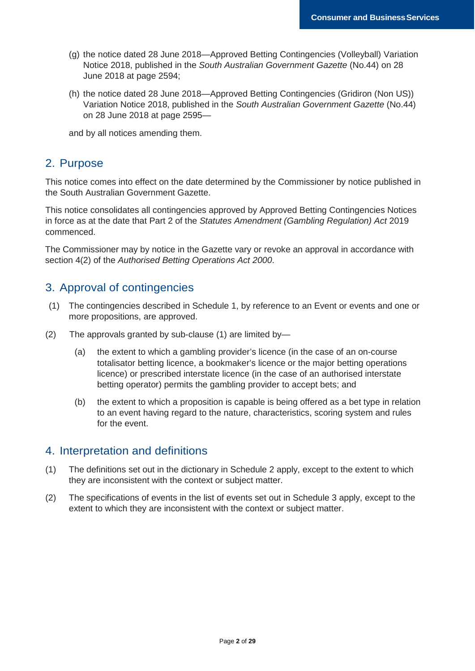- (g) the notice dated 28 June 2018—Approved Betting Contingencies (Volleyball) Variation Notice 2018, published in the *South Australian Government Gazette* (No.44) on 28 June 2018 at page 2594;
- (h) the notice dated 28 June 2018—Approved Betting Contingencies (Gridiron (Non US)) Variation Notice 2018, published in the *South Australian Government Gazette* (No.44) on 28 June 2018 at page 2595—

and by all notices amending them.

## 2. Purpose

This notice comes into effect on the date determined by the Commissioner by notice published in the South Australian Government Gazette.

This notice consolidates all contingencies approved by Approved Betting Contingencies Notices in force as at the date that Part 2 of the *Statutes Amendment (Gambling Regulation) Act* 2019 commenced.

The Commissioner may by notice in the Gazette vary or revoke an approval in accordance with section 4(2) of the *Authorised Betting Operations Act 2000*.

## 3. Approval of contingencies

- (1) The contingencies described in Schedule 1, by reference to an Event or events and one or more propositions, are approved.
- (2) The approvals granted by sub-clause (1) are limited by—
	- (a) the extent to which a gambling provider's licence (in the case of an on-course totalisator betting licence, a bookmaker's licence or the major betting operations licence) or prescribed interstate licence (in the case of an authorised interstate betting operator) permits the gambling provider to accept bets; and
	- (b) the extent to which a proposition is capable is being offered as a bet type in relation to an event having regard to the nature, characteristics, scoring system and rules for the event.

## 4. Interpretation and definitions

- (1) The definitions set out in the dictionary in Schedule 2 apply, except to the extent to which they are inconsistent with the context or subject matter.
- (2) The specifications of events in the list of events set out in Schedule 3 apply, except to the extent to which they are inconsistent with the context or subject matter.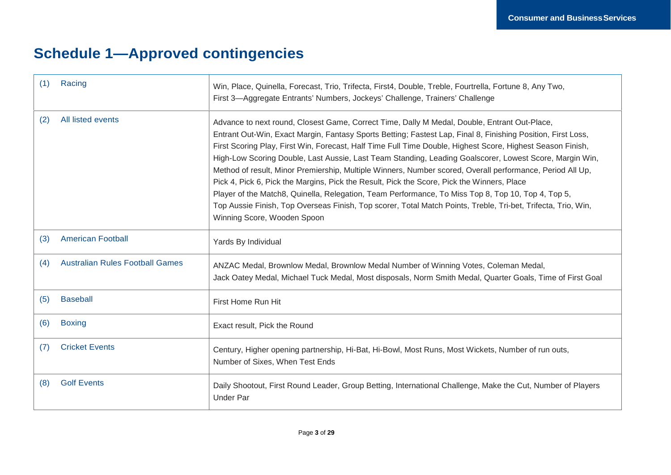## **Schedule 1—Approved contingencies**

| Racing                                 | Win, Place, Quinella, Forecast, Trio, Trifecta, First4, Double, Treble, Fourtrella, Fortune 8, Any Two,                                                                                                                                                                                                                                                                                                                                                                                                                                                                                                                                                                                                                                                                                                                                                                                                |
|----------------------------------------|--------------------------------------------------------------------------------------------------------------------------------------------------------------------------------------------------------------------------------------------------------------------------------------------------------------------------------------------------------------------------------------------------------------------------------------------------------------------------------------------------------------------------------------------------------------------------------------------------------------------------------------------------------------------------------------------------------------------------------------------------------------------------------------------------------------------------------------------------------------------------------------------------------|
| (1)                                    | First 3—Aggregate Entrants' Numbers, Jockeys' Challenge, Trainers' Challenge                                                                                                                                                                                                                                                                                                                                                                                                                                                                                                                                                                                                                                                                                                                                                                                                                           |
| All listed events<br>(2)               | Advance to next round, Closest Game, Correct Time, Dally M Medal, Double, Entrant Out-Place,<br>Entrant Out-Win, Exact Margin, Fantasy Sports Betting; Fastest Lap, Final 8, Finishing Position, First Loss,<br>First Scoring Play, First Win, Forecast, Half Time Full Time Double, Highest Score, Highest Season Finish,<br>High-Low Scoring Double, Last Aussie, Last Team Standing, Leading Goalscorer, Lowest Score, Margin Win,<br>Method of result, Minor Premiership, Multiple Winners, Number scored, Overall performance, Period All Up,<br>Pick 4, Pick 6, Pick the Margins, Pick the Result, Pick the Score, Pick the Winners, Place<br>Player of the Match8, Quinella, Relegation, Team Performance, To Miss Top 8, Top 10, Top 4, Top 5,<br>Top Aussie Finish, Top Overseas Finish, Top scorer, Total Match Points, Treble, Tri-bet, Trifecta, Trio, Win,<br>Winning Score, Wooden Spoon |
| <b>American Football</b><br>(3)        | Yards By Individual                                                                                                                                                                                                                                                                                                                                                                                                                                                                                                                                                                                                                                                                                                                                                                                                                                                                                    |
| <b>Australian Rules Football Games</b> | ANZAC Medal, Brownlow Medal, Brownlow Medal Number of Winning Votes, Coleman Medal,                                                                                                                                                                                                                                                                                                                                                                                                                                                                                                                                                                                                                                                                                                                                                                                                                    |
| (4)                                    | Jack Oatey Medal, Michael Tuck Medal, Most disposals, Norm Smith Medal, Quarter Goals, Time of First Goal                                                                                                                                                                                                                                                                                                                                                                                                                                                                                                                                                                                                                                                                                                                                                                                              |
| <b>Baseball</b><br>(5)                 | First Home Run Hit                                                                                                                                                                                                                                                                                                                                                                                                                                                                                                                                                                                                                                                                                                                                                                                                                                                                                     |
| (6)<br><b>Boxing</b>                   | Exact result, Pick the Round                                                                                                                                                                                                                                                                                                                                                                                                                                                                                                                                                                                                                                                                                                                                                                                                                                                                           |
| <b>Cricket Events</b>                  | Century, Higher opening partnership, Hi-Bat, Hi-Bowl, Most Runs, Most Wickets, Number of run outs,                                                                                                                                                                                                                                                                                                                                                                                                                                                                                                                                                                                                                                                                                                                                                                                                     |
| (7)                                    | Number of Sixes, When Test Ends                                                                                                                                                                                                                                                                                                                                                                                                                                                                                                                                                                                                                                                                                                                                                                                                                                                                        |
| <b>Golf Events</b>                     | Daily Shootout, First Round Leader, Group Betting, International Challenge, Make the Cut, Number of Players                                                                                                                                                                                                                                                                                                                                                                                                                                                                                                                                                                                                                                                                                                                                                                                            |
| (8)                                    | <b>Under Par</b>                                                                                                                                                                                                                                                                                                                                                                                                                                                                                                                                                                                                                                                                                                                                                                                                                                                                                       |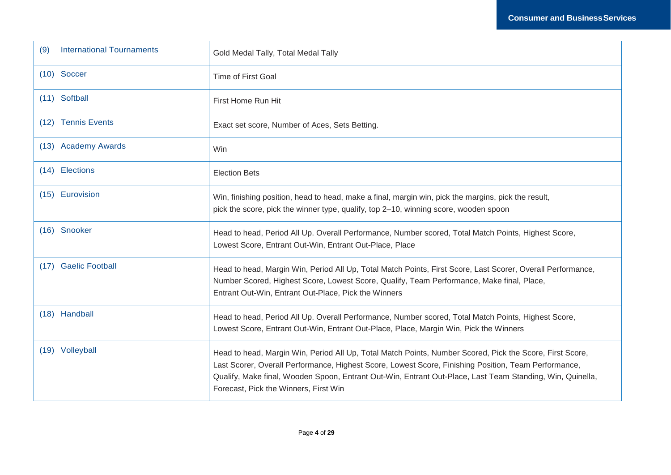| <b>International Tournaments</b><br>(9) | Gold Medal Tally, Total Medal Tally                                                                                                                                                                                                                                                                                                                                    |
|-----------------------------------------|------------------------------------------------------------------------------------------------------------------------------------------------------------------------------------------------------------------------------------------------------------------------------------------------------------------------------------------------------------------------|
| $(10)$ Soccer                           | <b>Time of First Goal</b>                                                                                                                                                                                                                                                                                                                                              |
| (11) Softball                           | First Home Run Hit                                                                                                                                                                                                                                                                                                                                                     |
| (12) Tennis Events                      | Exact set score, Number of Aces, Sets Betting.                                                                                                                                                                                                                                                                                                                         |
| (13) Academy Awards                     | Win                                                                                                                                                                                                                                                                                                                                                                    |
| (14) Elections                          | <b>Election Bets</b>                                                                                                                                                                                                                                                                                                                                                   |
| (15) Eurovision                         | Win, finishing position, head to head, make a final, margin win, pick the margins, pick the result,<br>pick the score, pick the winner type, qualify, top 2-10, winning score, wooden spoon                                                                                                                                                                            |
| (16) Snooker                            | Head to head, Period All Up. Overall Performance, Number scored, Total Match Points, Highest Score,<br>Lowest Score, Entrant Out-Win, Entrant Out-Place, Place                                                                                                                                                                                                         |
| (17) Gaelic Football                    | Head to head, Margin Win, Period All Up, Total Match Points, First Score, Last Scorer, Overall Performance,<br>Number Scored, Highest Score, Lowest Score, Qualify, Team Performance, Make final, Place,<br>Entrant Out-Win, Entrant Out-Place, Pick the Winners                                                                                                       |
| (18) Handball                           | Head to head, Period All Up. Overall Performance, Number scored, Total Match Points, Highest Score,<br>Lowest Score, Entrant Out-Win, Entrant Out-Place, Place, Margin Win, Pick the Winners                                                                                                                                                                           |
| (19) Volleyball                         | Head to head, Margin Win, Period All Up, Total Match Points, Number Scored, Pick the Score, First Score,<br>Last Scorer, Overall Performance, Highest Score, Lowest Score, Finishing Position, Team Performance,<br>Qualify, Make final, Wooden Spoon, Entrant Out-Win, Entrant Out-Place, Last Team Standing, Win, Quinella,<br>Forecast, Pick the Winners, First Win |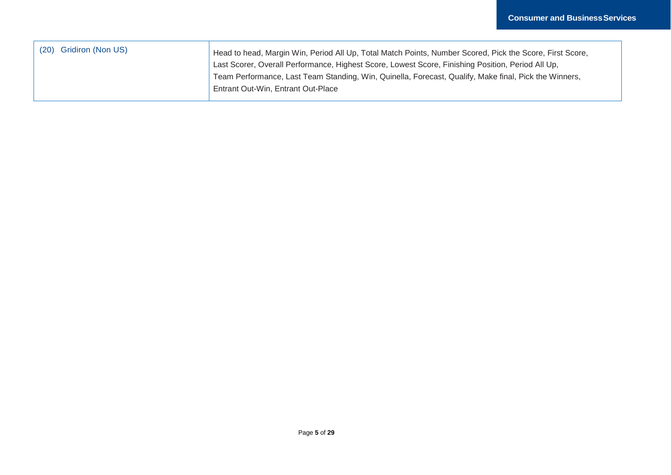| (20) Gridiron (Non US) | Head to head, Margin Win, Period All Up, Total Match Points, Number Scored, Pick the Score, First Score, |
|------------------------|----------------------------------------------------------------------------------------------------------|
|                        | Last Scorer, Overall Performance, Highest Score, Lowest Score, Finishing Position, Period All Up,        |
|                        | Team Performance, Last Team Standing, Win, Quinella, Forecast, Qualify, Make final, Pick the Winners,    |
|                        | Entrant Out-Win, Entrant Out-Place                                                                       |
|                        |                                                                                                          |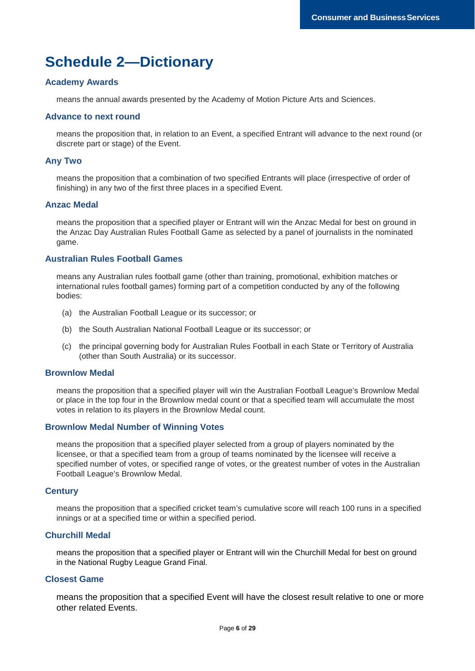## **Schedule 2—Dictionary**

#### **Academy Awards**

means the annual awards presented by the Academy of Motion Picture Arts and Sciences.

#### **Advance to next round**

means the proposition that, in relation to an Event, a specified Entrant will advance to the next round (or discrete part or stage) of the Event.

#### **Any Two**

means the proposition that a combination of two specified Entrants will place (irrespective of order of finishing) in any two of the first three places in a specified Event.

## **Anzac Medal**

means the proposition that a specified player or Entrant will win the Anzac Medal for best on ground in the Anzac Day Australian Rules Football Game as selected by a panel of journalists in the nominated game.

#### **Australian Rules Football Games**

means any Australian rules football game (other than training, promotional, exhibition matches or international rules football games) forming part of a competition conducted by any of the following bodies:

- (a) the Australian Football League or its successor; or
- (b) the South Australian National Football League or its successor; or
- (c) the principal governing body for Australian Rules Football in each State or Territory of Australia (other than South Australia) or its successor.

#### **Brownlow Medal**

means the proposition that a specified player will win the Australian Football League's Brownlow Medal or place in the top four in the Brownlow medal count or that a specified team will accumulate the most votes in relation to its players in the Brownlow Medal count.

#### **Brownlow Medal Number of Winning Votes**

means the proposition that a specified player selected from a group of players nominated by the licensee, or that a specified team from a group of teams nominated by the licensee will receive a specified number of votes, or specified range of votes, or the greatest number of votes in the Australian Football League's Brownlow Medal.

#### **Century**

means the proposition that a specified cricket team's cumulative score will reach 100 runs in a specified innings or at a specified time or within a specified period.

#### **Churchill Medal**

means the proposition that a specified player or Entrant will win the Churchill Medal for best on ground in the National Rugby League Grand Final.

#### **Closest Game**

means the proposition that a specified Event will have the closest result relative to one or more other related Events.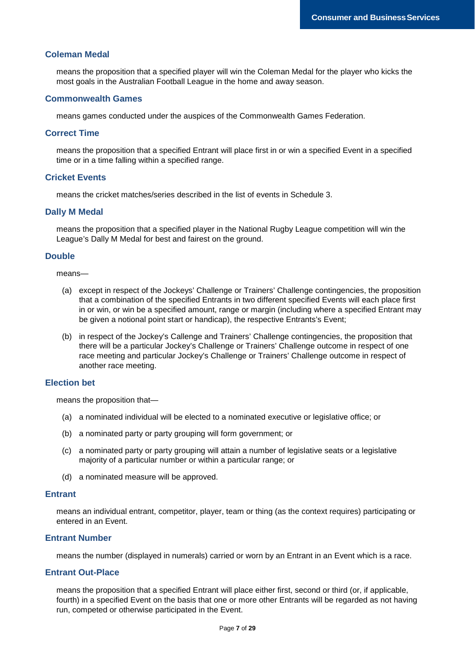#### **Coleman Medal**

means the proposition that a specified player will win the Coleman Medal for the player who kicks the most goals in the Australian Football League in the home and away season.

#### **Commonwealth Games**

means games conducted under the auspices of the Commonwealth Games Federation.

#### **Correct Time**

means the proposition that a specified Entrant will place first in or win a specified Event in a specified time or in a time falling within a specified range.

#### **Cricket Events**

means the cricket matches/series described in the list of events in Schedule 3.

#### **Dally M Medal**

means the proposition that a specified player in the National Rugby League competition will win the League's Dally M Medal for best and fairest on the ground.

#### **Double**

means—

- (a) except in respect of the Jockeys' Challenge or Trainers' Challenge contingencies, the proposition that a combination of the specified Entrants in two different specified Events will each place first in or win, or win be a specified amount, range or margin (including where a specified Entrant may be given a notional point start or handicap), the respective Entrants's Event;
- (b) in respect of the Jockey's Callenge and Trainers' Challenge contingencies, the proposition that there will be a particular Jockey's Challenge or Trainers' Challenge outcome in respect of one race meeting and particular Jockey's Challenge or Trainers' Challenge outcome in respect of another race meeting.

#### **Election bet**

means the proposition that—

- (a) a nominated individual will be elected to a nominated executive or legislative office; or
- (b) a nominated party or party grouping will form government; or
- (c) a nominated party or party grouping will attain a number of legislative seats or a legislative majority of a particular number or within a particular range; or
- (d) a nominated measure will be approved.

#### **Entrant**

means an individual entrant, competitor, player, team or thing (as the context requires) participating or entered in an Event.

#### **Entrant Number**

means the number (displayed in numerals) carried or worn by an Entrant in an Event which is a race.

#### **Entrant Out-Place**

means the proposition that a specified Entrant will place either first, second or third (or, if applicable, fourth) in a specified Event on the basis that one or more other Entrants will be regarded as not having run, competed or otherwise participated in the Event.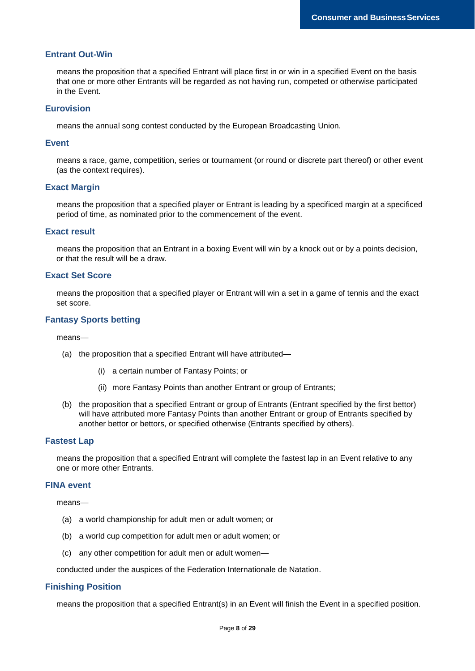## **Entrant Out-Win**

means the proposition that a specified Entrant will place first in or win in a specified Event on the basis that one or more other Entrants will be regarded as not having run, competed or otherwise participated in the Event.

#### **Eurovision**

means the annual song contest conducted by the European Broadcasting Union.

#### **Event**

means a race, game, competition, series or tournament (or round or discrete part thereof) or other event (as the context requires).

#### **Exact Margin**

means the proposition that a specified player or Entrant is leading by a specificed margin at a specificed period of time, as nominated prior to the commencement of the event.

#### **Exact result**

means the proposition that an Entrant in a boxing Event will win by a knock out or by a points decision, or that the result will be a draw.

#### **Exact Set Score**

means the proposition that a specified player or Entrant will win a set in a game of tennis and the exact set score.

#### **Fantasy Sports betting**

means—

- (a) the proposition that a specified Entrant will have attributed—
	- (i) a certain number of Fantasy Points; or
	- (ii) more Fantasy Points than another Entrant or group of Entrants;
- (b) the proposition that a specified Entrant or group of Entrants (Entrant specified by the first bettor) will have attributed more Fantasy Points than another Entrant or group of Entrants specified by another bettor or bettors, or specified otherwise (Entrants specified by others).

#### **Fastest Lap**

means the proposition that a specified Entrant will complete the fastest lap in an Event relative to any one or more other Entrants.

#### **FINA event**

means—

- (a) a world championship for adult men or adult women; or
- (b) a world cup competition for adult men or adult women; or
- (c) any other competition for adult men or adult women—

conducted under the auspices of the Federation Internationale de Natation.

#### **Finishing Position**

means the proposition that a specified Entrant(s) in an Event will finish the Event in a specified position.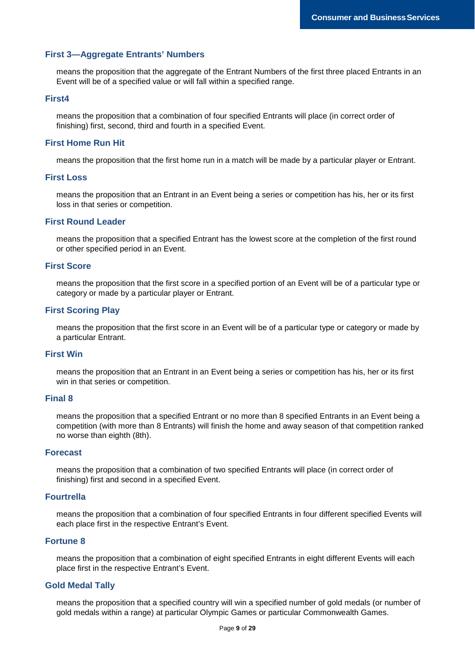#### **First 3—Aggregate Entrants' Numbers**

means the proposition that the aggregate of the Entrant Numbers of the first three placed Entrants in an Event will be of a specified value or will fall within a specified range.

#### **First4**

means the proposition that a combination of four specified Entrants will place (in correct order of finishing) first, second, third and fourth in a specified Event.

#### **First Home Run Hit**

means the proposition that the first home run in a match will be made by a particular player or Entrant.

#### **First Loss**

means the proposition that an Entrant in an Event being a series or competition has his, her or its first loss in that series or competition.

#### **First Round Leader**

means the proposition that a specified Entrant has the lowest score at the completion of the first round or other specified period in an Event.

#### **First Score**

means the proposition that the first score in a specified portion of an Event will be of a particular type or category or made by a particular player or Entrant.

#### **First Scoring Play**

means the proposition that the first score in an Event will be of a particular type or category or made by a particular Entrant.

#### **First Win**

means the proposition that an Entrant in an Event being a series or competition has his, her or its first win in that series or competition.

#### **Final 8**

means the proposition that a specified Entrant or no more than 8 specified Entrants in an Event being a competition (with more than 8 Entrants) will finish the home and away season of that competition ranked no worse than eighth (8th).

#### **Forecast**

means the proposition that a combination of two specified Entrants will place (in correct order of finishing) first and second in a specified Event.

#### **Fourtrella**

means the proposition that a combination of four specified Entrants in four different specified Events will each place first in the respective Entrant's Event.

#### **Fortune 8**

means the proposition that a combination of eight specified Entrants in eight different Events will each place first in the respective Entrant's Event.

#### **Gold Medal Tally**

means the proposition that a specified country will win a specified number of gold medals (or number of gold medals within a range) at particular Olympic Games or particular Commonwealth Games.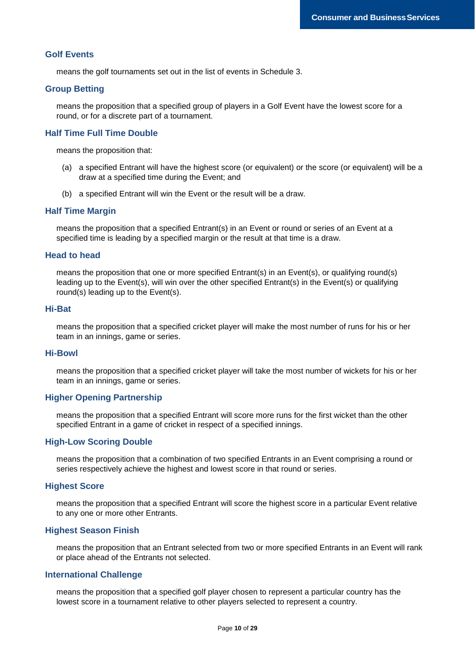#### **Golf Events**

means the golf tournaments set out in the list of events in Schedule 3.

#### **Group Betting**

means the proposition that a specified group of players in a Golf Event have the lowest score for a round, or for a discrete part of a tournament.

#### **Half Time Full Time Double**

means the proposition that:

- (a) a specified Entrant will have the highest score (or equivalent) or the score (or equivalent) will be a draw at a specified time during the Event; and
- (b) a specified Entrant will win the Event or the result will be a draw.

#### **Half Time Margin**

means the proposition that a specified Entrant(s) in an Event or round or series of an Event at a specified time is leading by a specified margin or the result at that time is a draw.

#### **Head to head**

means the proposition that one or more specified Entrant(s) in an Event(s), or qualifying round(s) leading up to the Event(s), will win over the other specified Entrant(s) in the Event(s) or qualifying round(s) leading up to the Event(s).

#### **Hi-Bat**

means the proposition that a specified cricket player will make the most number of runs for his or her team in an innings, game or series.

#### **Hi-Bowl**

means the proposition that a specified cricket player will take the most number of wickets for his or her team in an innings, game or series.

## **Higher Opening Partnership**

means the proposition that a specified Entrant will score more runs for the first wicket than the other specified Entrant in a game of cricket in respect of a specified innings.

#### **High-Low Scoring Double**

means the proposition that a combination of two specified Entrants in an Event comprising a round or series respectively achieve the highest and lowest score in that round or series.

#### **Highest Score**

means the proposition that a specified Entrant will score the highest score in a particular Event relative to any one or more other Entrants.

#### **Highest Season Finish**

means the proposition that an Entrant selected from two or more specified Entrants in an Event will rank or place ahead of the Entrants not selected.

#### **International Challenge**

means the proposition that a specified golf player chosen to represent a particular country has the lowest score in a tournament relative to other players selected to represent a country.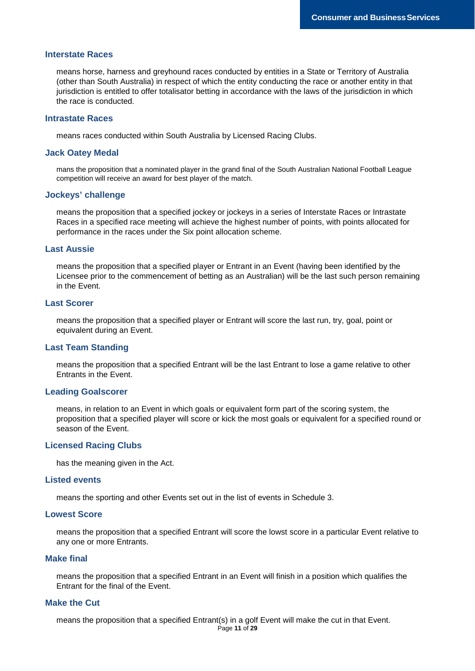#### **Interstate Races**

means horse, harness and greyhound races conducted by entities in a State or Territory of Australia (other than South Australia) in respect of which the entity conducting the race or another entity in that jurisdiction is entitled to offer totalisator betting in accordance with the laws of the jurisdiction in which the race is conducted.

#### **Intrastate Races**

means races conducted within South Australia by Licensed Racing Clubs.

#### **Jack Oatey Medal**

mans the proposition that a nominated player in the grand final of the South Australian National Football League competition will receive an award for best player of the match.

#### **Jockeys' challenge**

means the proposition that a specified jockey or jockeys in a series of Interstate Races or Intrastate Races in a specified race meeting will achieve the highest number of points, with points allocated for performance in the races under the Six point allocation scheme.

#### **Last Aussie**

means the proposition that a specified player or Entrant in an Event (having been identified by the Licensee prior to the commencement of betting as an Australian) will be the last such person remaining in the Event.

#### **Last Scorer**

means the proposition that a specified player or Entrant will score the last run, try, goal, point or equivalent during an Event.

#### **Last Team Standing**

means the proposition that a specified Entrant will be the last Entrant to lose a game relative to other Entrants in the Event.

#### **Leading Goalscorer**

means, in relation to an Event in which goals or equivalent form part of the scoring system, the proposition that a specified player will score or kick the most goals or equivalent for a specified round or season of the Event.

#### **Licensed Racing Clubs**

has the meaning given in the Act.

#### **Listed events**

means the sporting and other Events set out in the list of events in Schedule 3.

#### **Lowest Score**

means the proposition that a specified Entrant will score the lowst score in a particular Event relative to any one or more Entrants.

#### **Make final**

means the proposition that a specified Entrant in an Event will finish in a position which qualifies the Entrant for the final of the Event.

## **Make the Cut**

means the proposition that a specified Entrant(s) in a golf Event will make the cut in that Event.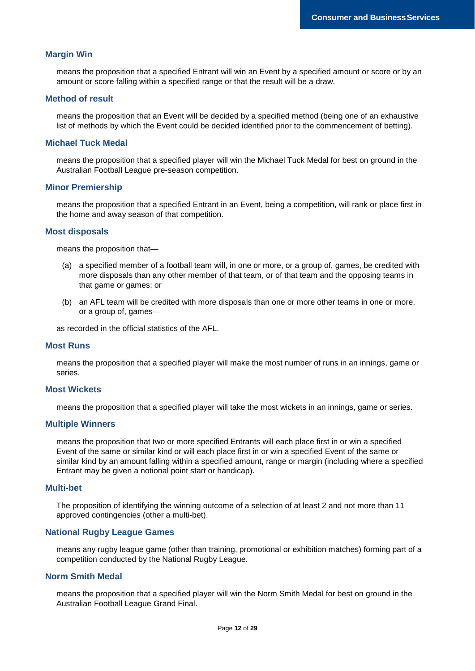#### **Margin Win**

means the proposition that a specified Entrant will win an Event by a specified amount or score or by an amount or score falling within a specified range or that the result will be a draw.

#### **Method of result**

means the proposition that an Event will be decided by a specified method (being one of an exhaustive list of methods by which the Event could be decided identified prior to the commencement of betting).

#### **Michael Tuck Medal**

means the proposition that a specified player will win the Michael Tuck Medal for best on ground in the Australian Football League pre-season competition.

#### **Minor Premiership**

means the proposition that a specified Entrant in an Event, being a competition, will rank or place first in the home and away season of that competition.

#### **Most disposals**

means the proposition that—

- (a) a specified member of a football team will, in one or more, or a group of, games, be credited with more disposals than any other member of that team, or of that team and the opposing teams in that game or games; or
- (b) an AFL team will be credited with more disposals than one or more other teams in one or more, or a group of, games—

as recorded in the official statistics of the AFL.

#### **Most Runs**

means the proposition that a specified player will make the most number of runs in an innings, game or series.

#### **Most Wickets**

means the proposition that a specified player will take the most wickets in an innings, game or series.

#### **Multiple Winners**

means the proposition that two or more specified Entrants will each place first in or win a specified Event of the same or similar kind or will each place first in or win a specified Event of the same or similar kind by an amount falling within a specified amount, range or margin (including where a specified Entrant may be given a notional point start or handicap).

#### **Multi-bet**

The proposition of identifying the winning outcome of a selection of at least 2 and not more than 11 approved contingencies (other a multi-bet).

#### **National Rugby League Games**

means any rugby league game (other than training, promotional or exhibition matches) forming part of a competition conducted by the National Rugby League.

## **Norm Smith Medal**

means the proposition that a specified player will win the Norm Smith Medal for best on ground in the Australian Football League Grand Final.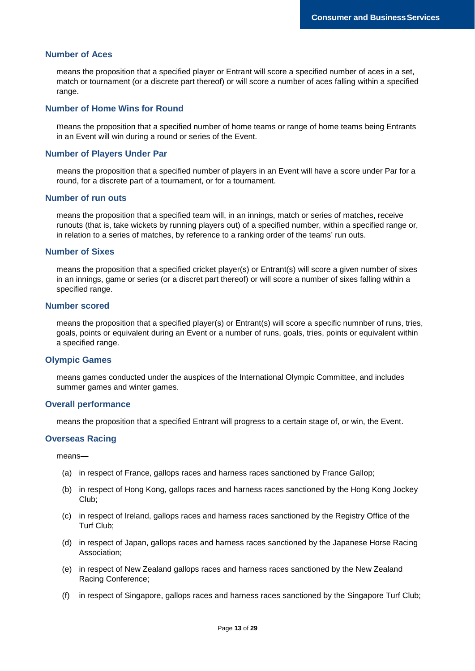#### **Number of Aces**

means the proposition that a specified player or Entrant will score a specified number of aces in a set, match or tournament (or a discrete part thereof) or will score a number of aces falling within a specified range.

#### **Number of Home Wins for Round**

means the proposition that a specified number of home teams or range of home teams being Entrants in an Event will win during a round or series of the Event.

#### **Number of Players Under Par**

means the proposition that a specified number of players in an Event will have a score under Par for a round, for a discrete part of a tournament, or for a tournament.

#### **Number of run outs**

means the proposition that a specified team will, in an innings, match or series of matches, receive runouts (that is, take wickets by running players out) of a specified number, within a specified range or, in relation to a series of matches, by reference to a ranking order of the teams' run outs.

#### **Number of Sixes**

means the proposition that a specified cricket player(s) or Entrant(s) will score a given number of sixes in an innings, game or series (or a discret part thereof) or will score a number of sixes falling within a specified range.

#### **Number scored**

means the proposition that a specified player(s) or Entrant(s) will score a specific numnber of runs, tries, goals, points or equivalent during an Event or a number of runs, goals, tries, points or equivalent within a specified range.

#### **Olympic Games**

means games conducted under the auspices of the International Olympic Committee, and includes summer games and winter games.

#### **Overall performance**

means the proposition that a specified Entrant will progress to a certain stage of, or win, the Event.

#### **Overseas Racing**

means—

- (a) in respect of France, gallops races and harness races sanctioned by France Gallop;
- (b) in respect of Hong Kong, gallops races and harness races sanctioned by the Hong Kong Jockey Club;
- (c) in respect of Ireland, gallops races and harness races sanctioned by the Registry Office of the Turf Club;
- (d) in respect of Japan, gallops races and harness races sanctioned by the Japanese Horse Racing Association;
- (e) in respect of New Zealand gallops races and harness races sanctioned by the New Zealand Racing Conference;
- (f) in respect of Singapore, gallops races and harness races sanctioned by the Singapore Turf Club;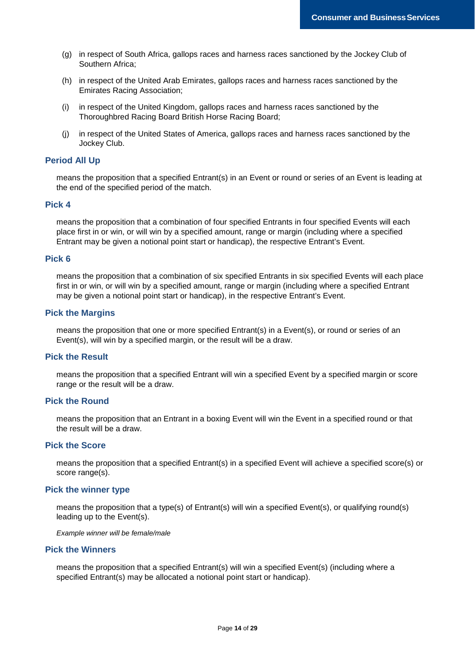- (g) in respect of South Africa, gallops races and harness races sanctioned by the Jockey Club of Southern Africa;
- (h) in respect of the United Arab Emirates, gallops races and harness races sanctioned by the Emirates Racing Association;
- (i) in respect of the United Kingdom, gallops races and harness races sanctioned by the Thoroughbred Racing Board British Horse Racing Board;
- (j) in respect of the United States of America, gallops races and harness races sanctioned by the Jockey Club.

#### **Period All Up**

means the proposition that a specified Entrant(s) in an Event or round or series of an Event is leading at the end of the specified period of the match.

### **Pick 4**

means the proposition that a combination of four specified Entrants in four specified Events will each place first in or win, or will win by a specified amount, range or margin (including where a specified Entrant may be given a notional point start or handicap), the respective Entrant's Event.

#### **Pick 6**

means the proposition that a combination of six specified Entrants in six specified Events will each place first in or win, or will win by a specified amount, range or margin (including where a specified Entrant may be given a notional point start or handicap), in the respective Entrant's Event.

#### **Pick the Margins**

means the proposition that one or more specified Entrant(s) in a Event(s), or round or series of an Event(s), will win by a specified margin, or the result will be a draw.

#### **Pick the Result**

means the proposition that a specified Entrant will win a specified Event by a specified margin or score range or the result will be a draw.

#### **Pick the Round**

means the proposition that an Entrant in a boxing Event will win the Event in a specified round or that the result will be a draw.

#### **Pick the Score**

means the proposition that a specified Entrant(s) in a specified Event will achieve a specified score(s) or score range(s).

#### **Pick the winner type**

means the proposition that a type(s) of Entrant(s) will win a specified Event(s), or qualifying round(s) leading up to the Event(s).

*Example winner will be female/male*

#### **Pick the Winners**

means the proposition that a specified Entrant(s) will win a specified Event(s) (including where a specified Entrant(s) may be allocated a notional point start or handicap).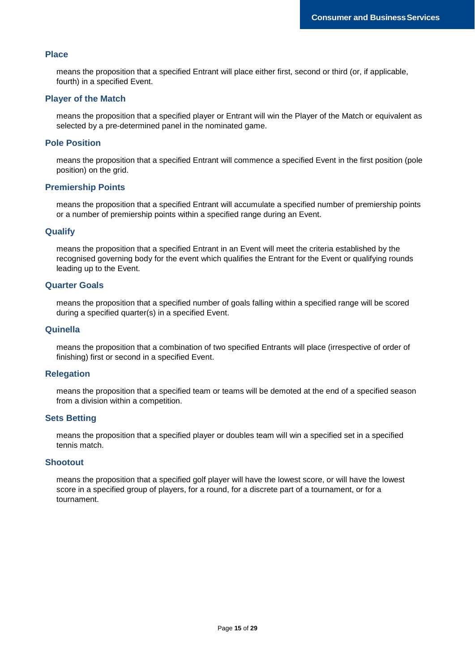#### **Place**

means the proposition that a specified Entrant will place either first, second or third (or, if applicable, fourth) in a specified Event.

#### **Player of the Match**

means the proposition that a specified player or Entrant will win the Player of the Match or equivalent as selected by a pre-determined panel in the nominated game.

#### **Pole Position**

means the proposition that a specified Entrant will commence a specified Event in the first position (pole position) on the grid.

#### **Premiership Points**

means the proposition that a specified Entrant will accumulate a specified number of premiership points or a number of premiership points within a specified range during an Event.

#### **Qualify**

means the proposition that a specified Entrant in an Event will meet the criteria established by the recognised governing body for the event which qualifies the Entrant for the Event or qualifying rounds leading up to the Event.

#### **Quarter Goals**

means the proposition that a specified number of goals falling within a specified range will be scored during a specified quarter(s) in a specified Event.

#### **Quinella**

means the proposition that a combination of two specified Entrants will place (irrespective of order of finishing) first or second in a specified Event.

#### **Relegation**

means the proposition that a specified team or teams will be demoted at the end of a specified season from a division within a competition.

#### **Sets Betting**

means the proposition that a specified player or doubles team will win a specified set in a specified tennis match.

#### **Shootout**

means the proposition that a specified golf player will have the lowest score, or will have the lowest score in a specified group of players, for a round, for a discrete part of a tournament, or for a tournament.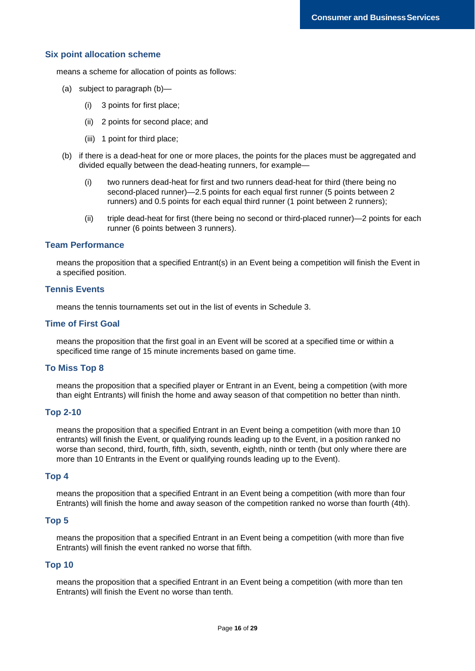#### **Six point allocation scheme**

means a scheme for allocation of points as follows:

- (a) subject to paragraph (b)—
	- (i) 3 points for first place;
	- (ii) 2 points for second place; and
	- (iii) 1 point for third place;
- (b) if there is a dead-heat for one or more places, the points for the places must be aggregated and divided equally between the dead-heating runners, for example—
	- (i) two runners dead-heat for first and two runners dead-heat for third (there being no second-placed runner)—2.5 points for each equal first runner (5 points between 2 runners) and 0.5 points for each equal third runner (1 point between 2 runners);
	- (ii) triple dead-heat for first (there being no second or third-placed runner)—2 points for each runner (6 points between 3 runners).

### **Team Performance**

means the proposition that a specified Entrant(s) in an Event being a competition will finish the Event in a specified position.

#### **Tennis Events**

means the tennis tournaments set out in the list of events in Schedule 3.

#### **Time of First Goal**

means the proposition that the first goal in an Event will be scored at a specified time or within a specificed time range of 15 minute increments based on game time.

#### **To Miss Top 8**

means the proposition that a specified player or Entrant in an Event, being a competition (with more than eight Entrants) will finish the home and away season of that competition no better than ninth.

#### **Top 2-10**

means the proposition that a specified Entrant in an Event being a competition (with more than 10 entrants) will finish the Event, or qualifying rounds leading up to the Event, in a position ranked no worse than second, third, fourth, fifth, sixth, seventh, eighth, ninth or tenth (but only where there are more than 10 Entrants in the Event or qualifying rounds leading up to the Event).

#### **Top 4**

means the proposition that a specified Entrant in an Event being a competition (with more than four Entrants) will finish the home and away season of the competition ranked no worse than fourth (4th).

#### **Top 5**

means the proposition that a specified Entrant in an Event being a competition (with more than five Entrants) will finish the event ranked no worse that fifth.

#### **Top 10**

means the proposition that a specified Entrant in an Event being a competition (with more than ten Entrants) will finish the Event no worse than tenth.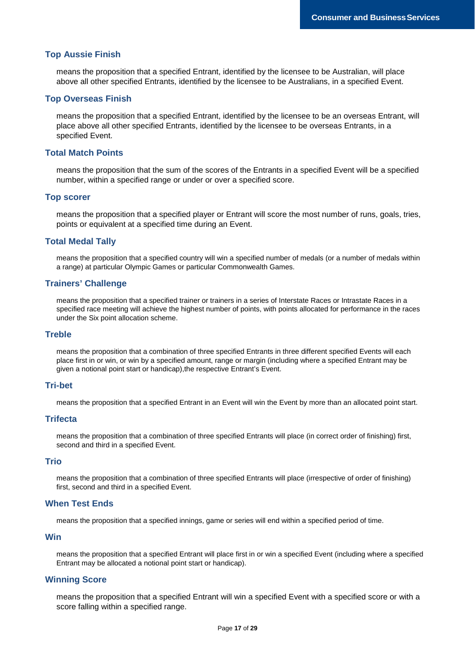#### **Top Aussie Finish**

means the proposition that a specified Entrant, identified by the licensee to be Australian, will place above all other specified Entrants, identified by the licensee to be Australians, in a specified Event.

#### **Top Overseas Finish**

means the proposition that a specified Entrant, identified by the licensee to be an overseas Entrant, will place above all other specified Entrants, identified by the licensee to be overseas Entrants, in a specified Event.

## **Total Match Points**

means the proposition that the sum of the scores of the Entrants in a specified Event will be a specified number, within a specified range or under or over a specified score.

#### **Top scorer**

means the proposition that a specified player or Entrant will score the most number of runs, goals, tries, points or equivalent at a specified time during an Event.

#### **Total Medal Tally**

means the proposition that a specified country will win a specified number of medals (or a number of medals within a range) at particular Olympic Games or particular Commonwealth Games.

#### **Trainers' Challenge**

means the proposition that a specified trainer or trainers in a series of Interstate Races or Intrastate Races in a specified race meeting will achieve the highest number of points, with points allocated for performance in the races under the Six point allocation scheme.

#### **Treble**

means the proposition that a combination of three specified Entrants in three different specified Events will each place first in or win, or win by a specified amount, range or margin (including where a specified Entrant may be given a notional point start or handicap),the respective Entrant's Event.

#### **Tri-bet**

means the proposition that a specified Entrant in an Event will win the Event by more than an allocated point start.

#### **Trifecta**

means the proposition that a combination of three specified Entrants will place (in correct order of finishing) first, second and third in a specified Event.

#### **Trio**

means the proposition that a combination of three specified Entrants will place (irrespective of order of finishing) first, second and third in a specified Event.

#### **When Test Ends**

means the proposition that a specified innings, game or series will end within a specified period of time.

#### **Win**

means the proposition that a specified Entrant will place first in or win a specified Event (including where a specified Entrant may be allocated a notional point start or handicap).

#### **Winning Score**

means the proposition that a specified Entrant will win a specified Event with a specified score or with a score falling within a specified range.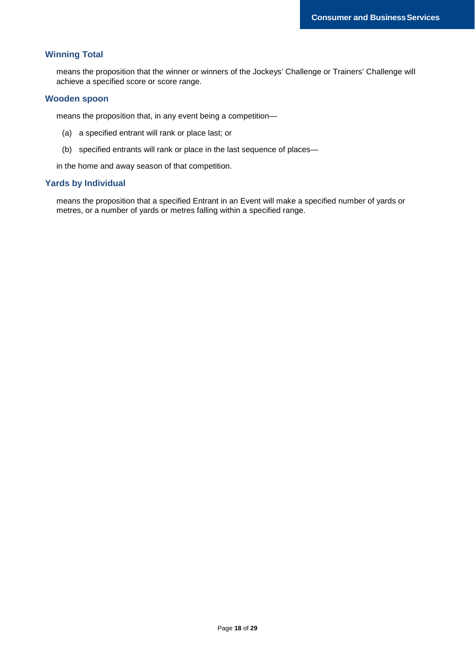## **Winning Total**

means the proposition that the winner or winners of the Jockeys' Challenge or Trainers' Challenge will achieve a specified score or score range.

#### **Wooden spoon**

means the proposition that, in any event being a competition—

- (a) a specified entrant will rank or place last; or
- (b) specified entrants will rank or place in the last sequence of places—

in the home and away season of that competition.

#### **Yards by Individual**

means the proposition that a specified Entrant in an Event will make a specified number of yards or metres, or a number of yards or metres falling within a specified range.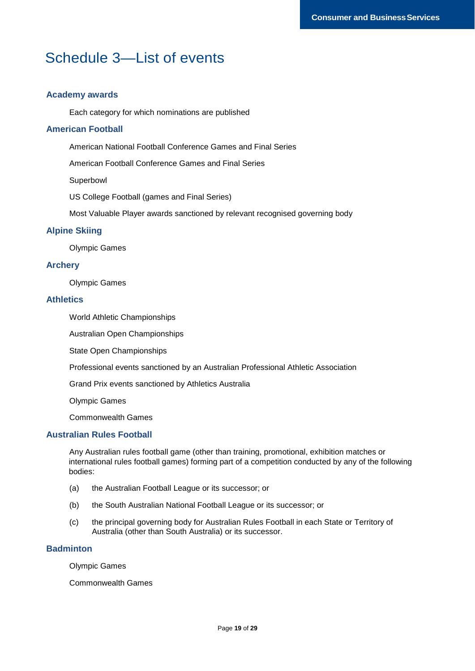## Schedule 3—List of events

## **Academy awards**

Each category for which nominations are published

#### **American Football**

American National Football Conference Games and Final Series

American Football Conference Games and Final Series

Superbowl

US College Football (games and Final Series)

Most Valuable Player awards sanctioned by relevant recognised governing body

#### **Alpine Skiing**

Olympic Games

### **Archery**

Olympic Games

#### **Athletics**

World Athletic Championships

Australian Open Championships

State Open Championships

Professional events sanctioned by an Australian Professional Athletic Association

Grand Prix events sanctioned by Athletics Australia

Olympic Games

Commonwealth Games

## **Australian Rules Football**

Any Australian rules football game (other than training, promotional, exhibition matches or international rules football games) forming part of a competition conducted by any of the following bodies:

- (a) the Australian Football League or its successor; or
- (b) the South Australian National Football League or its successor; or
- (c) the principal governing body for Australian Rules Football in each State or Territory of Australia (other than South Australia) or its successor.

## **Badminton**

Olympic Games

Commonwealth Games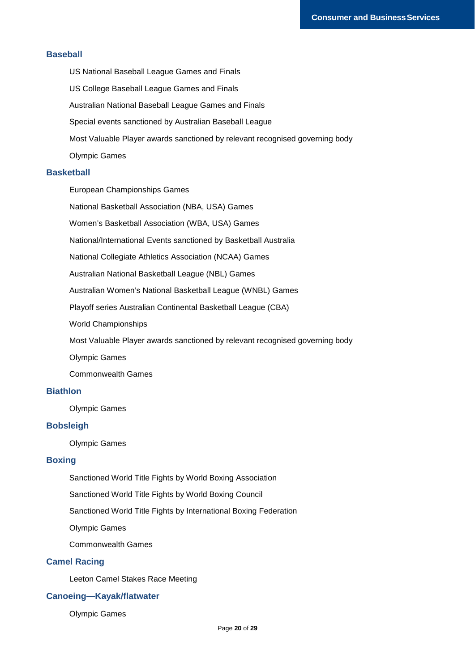#### **Baseball**

US National Baseball League Games and Finals US College Baseball League Games and Finals Australian National Baseball League Games and Finals Special events sanctioned by Australian Baseball League Most Valuable Player awards sanctioned by relevant recognised governing body Olympic Games

#### **Basketball**

European Championships Games

National Basketball Association (NBA, USA) Games

Women's Basketball Association (WBA, USA) Games

National/International Events sanctioned by Basketball Australia

National Collegiate Athletics Association (NCAA) Games

Australian National Basketball League (NBL) Games

Australian Women's National Basketball League (WNBL) Games

Playoff series Australian Continental Basketball League (CBA)

World Championships

Most Valuable Player awards sanctioned by relevant recognised governing body

Olympic Games

Commonwealth Games

## **Biathlon**

Olympic Games

## **Bobsleigh**

Olympic Games

## **Boxing**

Sanctioned World Title Fights by World Boxing Association

Sanctioned World Title Fights by World Boxing Council

Sanctioned World Title Fights by International Boxing Federation

Olympic Games

Commonwealth Games

## **Camel Racing**

Leeton Camel Stakes Race Meeting

## **Canoeing—Kayak/flatwater**

Olympic Games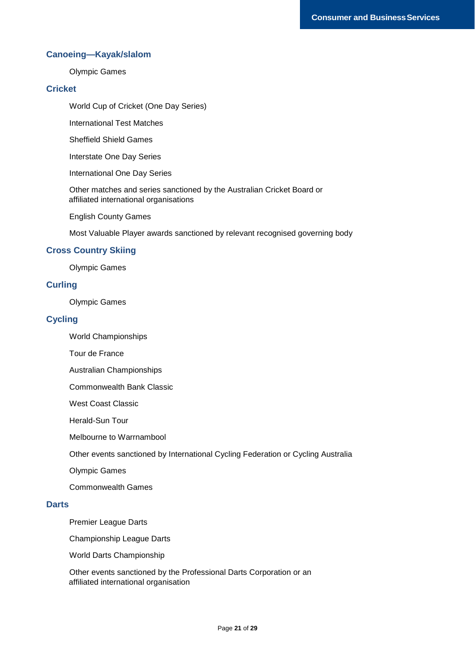## **Canoeing—Kayak/slalom**

Olympic Games

## **Cricket**

World Cup of Cricket (One Day Series)

International Test Matches

Sheffield Shield Games

Interstate One Day Series

International One Day Series

Other matches and series sanctioned by the Australian Cricket Board or affiliated international organisations

English County Games

Most Valuable Player awards sanctioned by relevant recognised governing body

## **Cross Country Skiing**

Olympic Games

#### **Curling**

Olympic Games

### **Cycling**

- World Championships
- Tour de France
- Australian Championships
- Commonwealth Bank Classic
- West Coast Classic

Herald-Sun Tour

Melbourne to Warrnambool

Other events sanctioned by International Cycling Federation or Cycling Australia

Olympic Games

Commonwealth Games

#### **Darts**

Premier League Darts

Championship League Darts

World Darts Championship

Other events sanctioned by the Professional Darts Corporation or an affiliated international organisation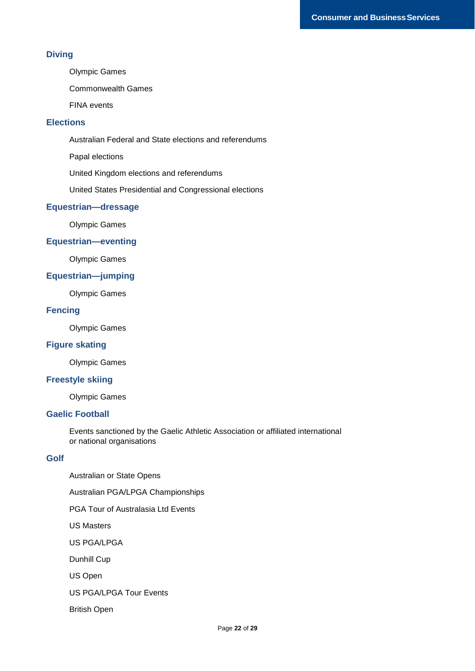## **Diving**

Olympic Games

Commonwealth Games

FINA events

## **Elections**

Australian Federal and State elections and referendums

Papal elections

United Kingdom elections and referendums

United States Presidential and Congressional elections

## **Equestrian—dressage**

Olympic Games

## **Equestrian—eventing**

Olympic Games

## **Equestrian—jumping**

Olympic Games

## **Fencing**

Olympic Games

## **Figure skating**

Olympic Games

## **Freestyle skiing**

Olympic Games

## **Gaelic Football**

Events sanctioned by the Gaelic Athletic Association or affiliated international or national organisations

## **Golf**

Australian or State Opens Australian PGA/LPGA Championships PGA Tour of Australasia Ltd Events US Masters US PGA/LPGA Dunhill Cup US Open US PGA/LPGA Tour Events British Open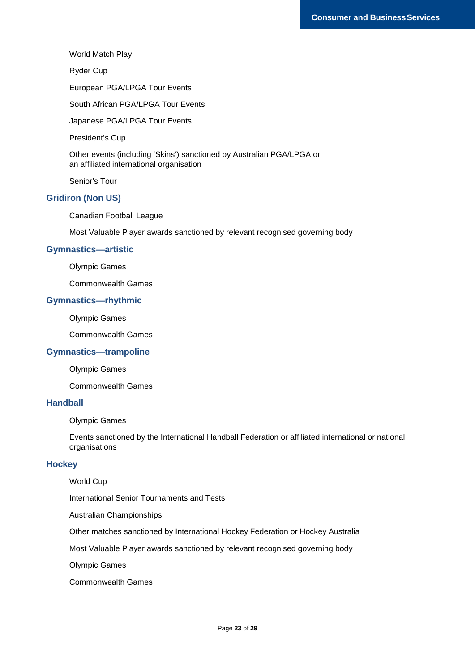#### World Match Play

Ryder Cup

European PGA/LPGA Tour Events

South African PGA/LPGA Tour Events

Japanese PGA/LPGA Tour Events

President's Cup

Other events (including 'Skins') sanctioned by Australian PGA/LPGA or an affiliated international organisation

Senior's Tour

#### **Gridiron (Non US)**

Canadian Football League

Most Valuable Player awards sanctioned by relevant recognised governing body

#### **Gymnastics—artistic**

Olympic Games

Commonwealth Games

## **Gymnastics—rhythmic**

Olympic Games

Commonwealth Games

## **Gymnastics—trampoline**

Olympic Games

Commonwealth Games

#### **Handball**

Olympic Games

Events sanctioned by the International Handball Federation or affiliated international or national organisations

#### **Hockey**

World Cup

International Senior Tournaments and Tests

Australian Championships

Other matches sanctioned by International Hockey Federation or Hockey Australia

Most Valuable Player awards sanctioned by relevant recognised governing body

Olympic Games

Commonwealth Games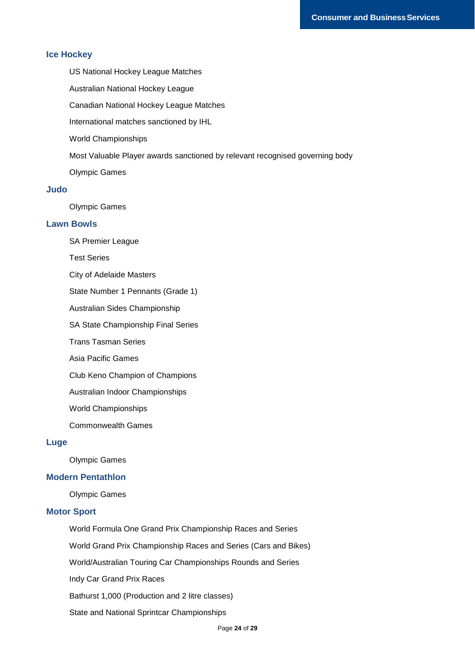### **Ice Hockey**

US National Hockey League Matches

Australian National Hockey League

Canadian National Hockey League Matches

International matches sanctioned by IHL

World Championships

Most Valuable Player awards sanctioned by relevant recognised governing body

Olympic Games

## **Judo**

Olympic Games

## **Lawn Bowls**

SA Premier League

Test Series

City of Adelaide Masters

State Number 1 Pennants (Grade 1)

Australian Sides Championship

SA State Championship Final Series

Trans Tasman Series

Asia Pacific Games

Club Keno Champion of Champions

Australian Indoor Championships

World Championships

Commonwealth Games

#### **Luge**

Olympic Games

#### **Modern Pentathlon**

Olympic Games

#### **Motor Sport**

World Formula One Grand Prix Championship Races and Series

World Grand Prix Championship Races and Series (Cars and Bikes)

World/Australian Touring Car Championships Rounds and Series

Indy Car Grand Prix Races

Bathurst 1,000 (Production and 2 litre classes)

State and National Sprintcar Championships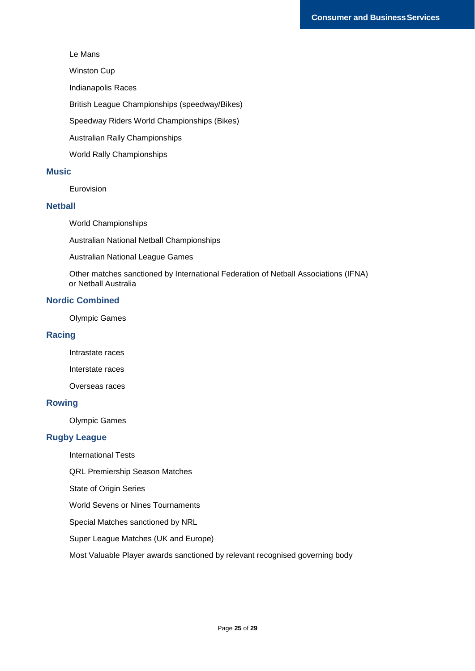#### Le Mans

Winston Cup

Indianapolis Races

British League Championships (speedway/Bikes)

Speedway Riders World Championships (Bikes)

Australian Rally Championships

World Rally Championships

## **Music**

Eurovision

## **Netball**

World Championships

Australian National Netball Championships

Australian National League Games

Other matches sanctioned by International Federation of Netball Associations (IFNA) or Netball Australia

## **Nordic Combined**

Olympic Games

## **Racing**

Intrastate races

Interstate races

Overseas races

#### **Rowing**

Olympic Games

#### **Rugby League**

International Tests

QRL Premiership Season Matches

State of Origin Series

World Sevens or Nines Tournaments

Special Matches sanctioned by NRL

Super League Matches (UK and Europe)

Most Valuable Player awards sanctioned by relevant recognised governing body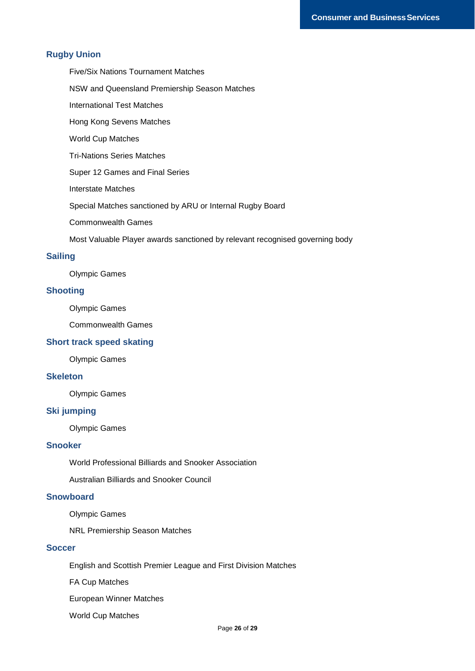## **Rugby Union**

Five/Six Nations Tournament Matches

NSW and Queensland Premiership Season Matches

International Test Matches

Hong Kong Sevens Matches

World Cup Matches

Tri-Nations Series Matches

Super 12 Games and Final Series

Interstate Matches

Special Matches sanctioned by ARU or Internal Rugby Board

Commonwealth Games

Most Valuable Player awards sanctioned by relevant recognised governing body

## **Sailing**

Olympic Games

#### **Shooting**

Olympic Games

Commonwealth Games

## **Short track speed skating**

Olympic Games

## **Skeleton**

Olympic Games

## **Ski jumping**

Olympic Games

## **Snooker**

World Professional Billiards and Snooker Association

Australian Billiards and Snooker Council

## **Snowboard**

Olympic Games

NRL Premiership Season Matches

#### **Soccer**

English and Scottish Premier League and First Division Matches

FA Cup Matches

European Winner Matches

World Cup Matches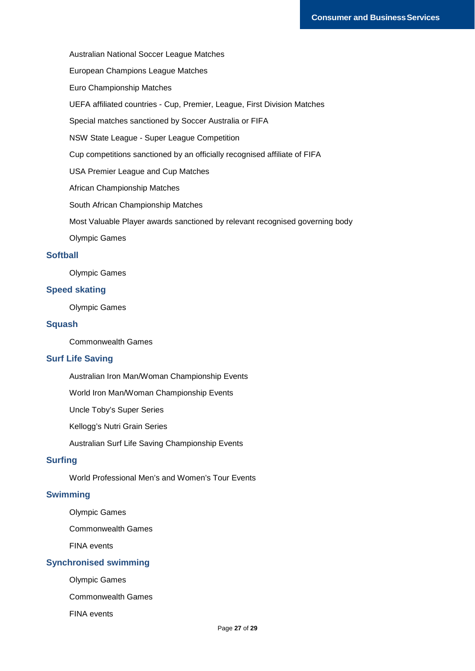Australian National Soccer League Matches

European Champions League Matches

Euro Championship Matches

UEFA affiliated countries - Cup, Premier, League, First Division Matches

Special matches sanctioned by Soccer Australia or FIFA

NSW State League - Super League Competition

Cup competitions sanctioned by an officially recognised affiliate of FIFA

USA Premier League and Cup Matches

African Championship Matches

South African Championship Matches

Most Valuable Player awards sanctioned by relevant recognised governing body

Olympic Games

#### **Softball**

Olympic Games

## **Speed skating**

Olympic Games

#### **Squash**

Commonwealth Games

#### **Surf Life Saving**

Australian Iron Man/Woman Championship Events

World Iron Man/Woman Championship Events

Uncle Toby's Super Series

Kellogg's Nutri Grain Series

Australian Surf Life Saving Championship Events

## **Surfing**

World Professional Men's and Women's Tour Events

## **Swimming**

Olympic Games

Commonwealth Games

FINA events

## **Synchronised swimming**

Olympic Games

Commonwealth Games

FINA events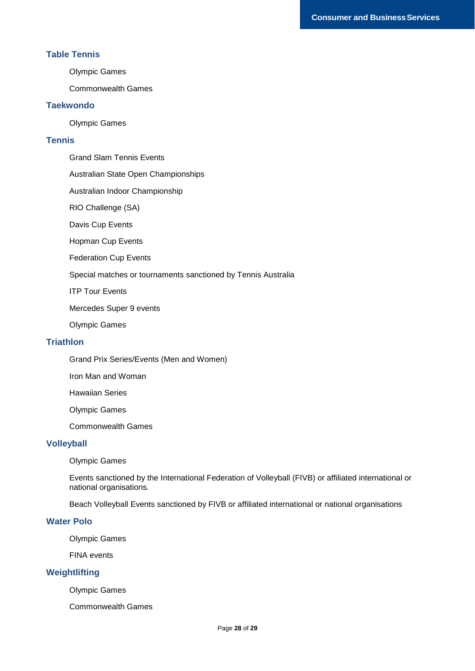#### **Table Tennis**

Olympic Games

Commonwealth Games

#### **Taekwondo**

Olympic Games

## **Tennis**

Grand Slam Tennis Events

Australian State Open Championships

Australian Indoor Championship

RIO Challenge (SA)

Davis Cup Events

Hopman Cup Events

Federation Cup Events

Special matches or tournaments sanctioned by Tennis Australia

ITP Tour Events

Mercedes Super 9 events

Olympic Games

#### **Triathlon**

Grand Prix Series/Events (Men and Women)

Iron Man and Woman

Hawaiian Series

Olympic Games

Commonwealth Games

## **Volleyball**

Olympic Games

Events sanctioned by the International Federation of Volleyball (FIVB) or affiliated international or national organisations.

Beach Volleyball Events sanctioned by FIVB or affiliated international or national organisations

#### **Water Polo**

Olympic Games

FINA events

## **Weightlifting**

Olympic Games

Commonwealth Games